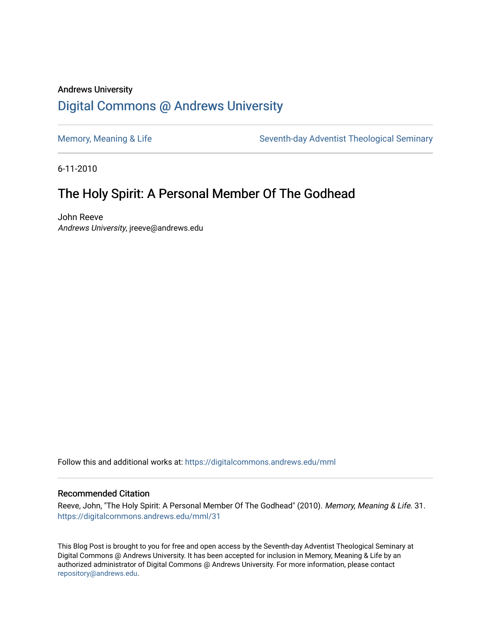## Andrews University [Digital Commons @ Andrews University](https://digitalcommons.andrews.edu/)

[Memory, Meaning & Life](https://digitalcommons.andrews.edu/mml) Seventh-day Adventist Theological Seminary

6-11-2010

# The Holy Spirit: A Personal Member Of The Godhead

John Reeve Andrews University, jreeve@andrews.edu

Follow this and additional works at: [https://digitalcommons.andrews.edu/mml](https://digitalcommons.andrews.edu/mml?utm_source=digitalcommons.andrews.edu%2Fmml%2F31&utm_medium=PDF&utm_campaign=PDFCoverPages) 

#### Recommended Citation

Reeve, John, "The Holy Spirit: A Personal Member Of The Godhead" (2010). Memory, Meaning & Life. 31. [https://digitalcommons.andrews.edu/mml/31](https://digitalcommons.andrews.edu/mml/31?utm_source=digitalcommons.andrews.edu%2Fmml%2F31&utm_medium=PDF&utm_campaign=PDFCoverPages)

This Blog Post is brought to you for free and open access by the Seventh-day Adventist Theological Seminary at Digital Commons @ Andrews University. It has been accepted for inclusion in Memory, Meaning & Life by an authorized administrator of Digital Commons @ Andrews University. For more information, please contact [repository@andrews.edu](mailto:repository@andrews.edu).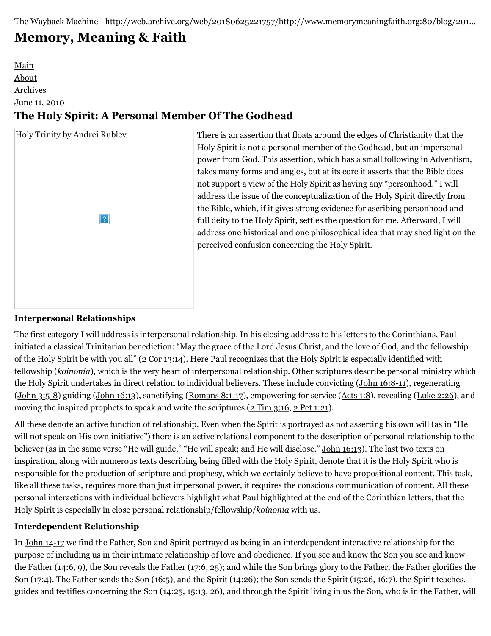# **[Memory, Meaning & Faith](http://web.archive.org/web/20180625221757/http://www.memorymeaningfaith.org/blog/)**

## [Main](http://web.archive.org/web/20180625221757/http://www.memorymeaningfaith.org/blog) [About](http://web.archive.org/web/20180625221757/http://www.memorymeaningfaith.org/blog/about.html) [Archives](http://web.archive.org/web/20180625221757/http://www.memorymeaningfaith.org/blog/archives.html) June 11, 2010 **The Holy Spirit: A Personal Member Of The Godhead**



There is an assertion that floats around the edges of Christianity that the Holy Spirit is not a personal member of the Godhead, but an impersonal power from God. This assertion, which has a small following in Adventism, takes many forms and angles, but at its core it asserts that the Bible does not support a view of the Holy Spirit as having any "personhood." I will address the issue of the conceptualization of the Holy Spirit directly from the Bible, which, if it gives strong evidence for ascribing personhood and full deity to the Holy Spirit, settles the question for me. Afterward, I will address one historical and one philosophical idea that may shed light on the perceived confusion concerning the Holy Spirit.

### **Interpersonal Relationships**

The first category I will address is interpersonal relationship. In his closing address to his letters to the Corinthians, Paul initiated a classical Trinitarian benediction: "May the grace of the Lord Jesus Christ, and the love of God, and the fellowship of the Holy Spirit be with you all" (2 Cor 13:14). Here Paul recognizes that the Holy Spirit is especially identified with fellowship (*koinonia*), which is the very heart of interpersonal relationship. Other scriptures describe personal ministry which the Holy Spirit undertakes in direct relation to individual believers. These include convicting ([John 16:8-11](http://web.archive.org/web/20180625221757/http://www.biblestudytools.com/nrs/john/passage.aspx?q=John+16:8-11)), regenerating ([John 3:5-8](http://web.archive.org/web/20180625221757/http://www.biblestudytools.com/nrs/john/passage.aspx?q=John+3:5-8)) guiding ([John 16:13](http://web.archive.org/web/20180625221757/http://www.biblestudytools.com/nrs/john/passage.aspx?q=John+16:13)), sanctifying [\(Romans 8:1-17](http://web.archive.org/web/20180625221757/http://www.biblestudytools.com/nrs/romans/passage.aspx?q=Romans+8:1-17)), empowering for service ([Acts 1:8](http://web.archive.org/web/20180625221757/http://www.biblestudytools.com/nrs/acts/1-8.html)), revealing ([Luke 2:26](http://web.archive.org/web/20180625221757/http://www.biblestudytools.com/nrs/romans/passage.aspx?q=Luke+2:26)), and moving the inspired prophets to speak and write the scriptures ([2 Tim 3:16,](http://web.archive.org/web/20180625221757/http://www.biblestudytools.com/nrs/2-timothy/3-16.html) [2 Pet 1:21\)](http://web.archive.org/web/20180625221757/http://www.biblestudytools.com/nrs/2-peter/1-21.html).

All these denote an active function of relationship. Even when the Spirit is portrayed as not asserting his own will (as in "He will not speak on His own initiative") there is an active relational component to the description of personal relationship to the believer (as in the same verse "He will guide," "He will speak; and He will disclose." [John 16:13](http://web.archive.org/web/20180625221757/http://www.biblestudytools.com/nrs/john/16-13.html)). The last two texts on inspiration, along with numerous texts describing being filled with the Holy Spirit, denote that it is the Holy Spirit who is responsible for the production of scripture and prophesy, which we certainly believe to have propositional content. This task, like all these tasks, requires more than just impersonal power, it requires the conscious communication of content. All these personal interactions with individual believers highlight what Paul highlighted at the end of the Corinthian letters, that the Holy Spirit is especially in close personal relationship/fellowship/*koinonia* with us.

#### **Interdependent Relationship**

In [John 14-17](http://web.archive.org/web/20180625221757/http://www.biblestudytools.com/nrs/john/passage.aspx?q=John+14;John+15;John+16;John+17) we find the Father, Son and Spirit portrayed as being in an interdependent interactive relationship for the purpose of including us in their intimate relationship of love and obedience. If you see and know the Son you see and know the Father (14:6, 9), the Son reveals the Father (17:6, 25); and while the Son brings glory to the Father, the Father glorifies the Son (17:4). The Father sends the Son (16:5), and the Spirit (14:26); the Son sends the Spirit (15:26, 16:7), the Spirit teaches, guides and testifies concerning the Son (14:25, 15:13, 26), and through the Spirit living in us the Son, who is in the Father, will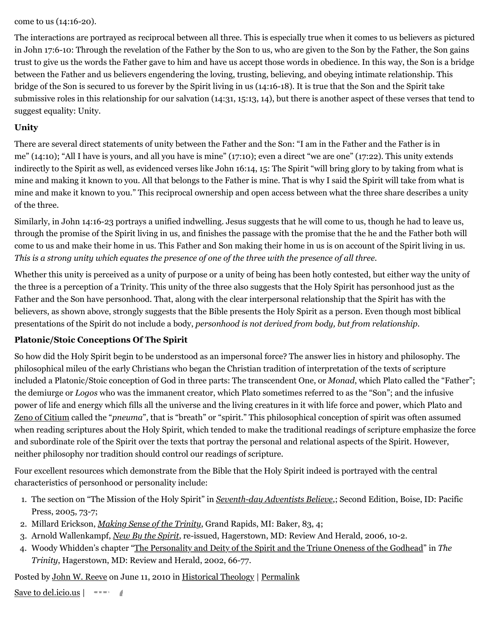come to us (14:16-20).

The interactions are portrayed as reciprocal between all three. This is especially true when it comes to us believers as pictured in John 17:6-10: Through the revelation of the Father by the Son to us, who are given to the Son by the Father, the Son gains trust to give us the words the Father gave to him and have us accept those words in obedience. In this way, the Son is a bridge between the Father and us believers engendering the loving, trusting, believing, and obeying intimate relationship. This bridge of the Son is secured to us forever by the Spirit living in us (14:16-18). It is true that the Son and the Spirit take submissive roles in this relationship for our salvation (14:31, 15:13, 14), but there is another aspect of these verses that tend to suggest equality: Unity.

#### **Unity**

There are several direct statements of unity between the Father and the Son: "I am in the Father and the Father is in me" (14:10); "All I have is yours, and all you have is mine" (17:10); even a direct "we are one" (17:22). This unity extends indirectly to the Spirit as well, as evidenced verses like John 16:14, 15: The Spirit "will bring glory to by taking from what is mine and making it known to you. All that belongs to the Father is mine. That is why I said the Spirit will take from what is mine and make it known to you." This reciprocal ownership and open access between what the three share describes a unity of the three.

Similarly, in John 14:16-23 portrays a unified indwelling. Jesus suggests that he will come to us, though he had to leave us, through the promise of the Spirit living in us, and finishes the passage with the promise that the he and the Father both will come to us and make their home in us. This Father and Son making their home in us is on account of the Spirit living in us. *This is a strong unity which equates the presence of one of the three with the presence of all three.*

Whether this unity is perceived as a unity of purpose or a unity of being has been hotly contested, but either way the unity of the three is a perception of a Trinity. This unity of the three also suggests that the Holy Spirit has personhood just as the Father and the Son have personhood. That, along with the clear interpersonal relationship that the Spirit has with the believers, as shown above, strongly suggests that the Bible presents the Holy Spirit as a person. Even though most biblical presentations of the Spirit do not include a body, *personhood is not derived from body, but from relationship*.

#### **Platonic/Stoic Conceptions Of The Spirit**

So how did the Holy Spirit begin to be understood as an impersonal force? The answer lies in history and philosophy. The philosophical mileu of the early Christians who began the Christian tradition of interpretation of the texts of scripture included a Platonic/Stoic conception of God in three parts: The transcendent One, or *Monad*, which Plato called the "Father"; the demiurge or *Logos* who was the immanent creator, which Plato sometimes referred to as the "Son"; and the infusive power of life and energy which fills all the universe and the living creatures in it with life force and power, which Plato and [Zeno of Citium](http://web.archive.org/web/20180625221757/http://en.wikipedia.org/wiki/Zeno_of_Citium) called the "*pneuma*", that is "breath" or "spirit." This philosophical conception of spirit was often assumed when reading scriptures about the Holy Spirit, which tended to make the traditional readings of scripture emphasize the force and subordinate role of the Spirit over the texts that portray the personal and relational aspects of the Spirit. However, neither philosophy nor tradition should control our readings of scripture.

Four excellent resources which demonstrate from the Bible that the Holy Spirit indeed is portrayed with the central characteristics of personhood or personality include:

- 1. The section on "The Mission of the Holy Spirit" in *[Seventh-day Adventists Believe](http://web.archive.org/web/20180625221757/http://www.adventistbookcenter.com/Detail.tpl?sku=1578470412)*,; Second Edition, Boise, ID: Pacific Press, 2005, 73-7;
- 2. Millard Erickson, *[Making Sense of the Trinity](http://web.archive.org/web/20180625221757/http://books.google.com/books?id=6qIIAAAACAAJ&dq)*, Grand Rapids, MI: Baker, 83, 4;
- 3. Arnold Wallenkampf, *[New By the Spirit](http://web.archive.org/web/20180625221757/http://books.google.com/books?id=YZ6YlYKBAMgC&lpg)*, re-issued, Hagerstown, MD: Review And Herald, 2006, 10-2.
- 4. Woody Whidden's chapter "[The Personality and Deity of the Spirit and the Triune Oneness of the Godhead"](http://web.archive.org/web/20180625221757/http://books.google.com/books?id=ym4Efps-ZuoC&lpg=PP1&dq=The%20Trinity&pg=PA66#v=onepage&q&f=false) in *The Trinity*, Hagerstown, MD: Review and Herald, 2002, 66-77.

Posted by [John W. Reeve](http://web.archive.org/web/20180625221757/http://profile.typepad.com/jreeve) on June 11, 2010 in [Historical Theology](http://web.archive.org/web/20180625221757/http://www.memorymeaningfaith.org/blog/theology/) | [Permalink](http://web.archive.org/web/20180625221757/http://www.memorymeaningfaith.org/blog/2010/06/holy-spirit-a-personal-member-of-the-godhead.html)

[Save to del.icio.us](http://web.archive.org/web/20180625221757/http://del.icio.us/post) |